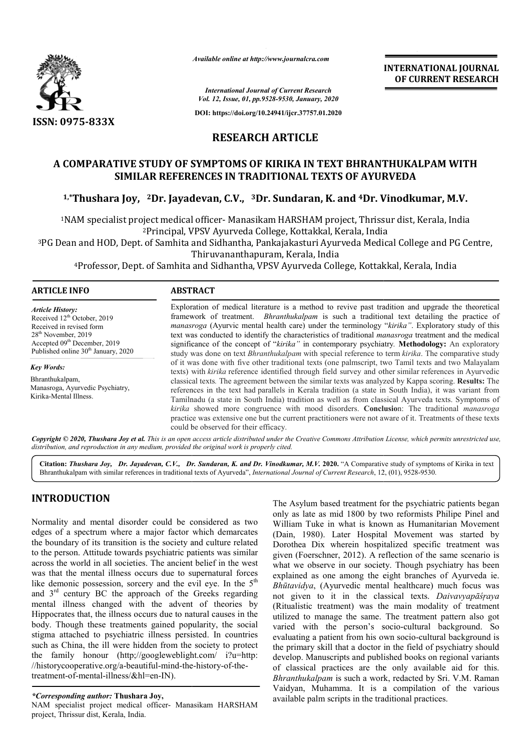

*Available online at http://www.journalcra.com*

*International Journal of Current Research Vol. 12, Issue, 01, pp.9528-9530, January, 2020*

**DOI: https://doi.org/10.24941/ijcr.37757.01.2020**

# **RESEARCH ARTICLE**

# **A COMPARATIVE STUDY OF SYMPTOMS OF KIRIKA IN TEXT BHRANTHUKALPAM WITH SYMPTOMS OF SIMILAR REFERENCES IN TRADITIONAL TEXTS OF AYURVEDA**

<sup>1,</sup>\*Thushara Joy, <sup>2</sup>Dr. Jayadevan, C.V., <sup>3</sup>Dr. Sundaran, K. and <sup>4</sup>Dr. Vinodkumar, M.V.

<sup>1</sup>NAM specialist project medical officer- Manasikam HARSHAM project, Thrissur dist, Kerala, India 2Principal, VPSV Ayurveda College, Kottakkal, Kerala, India

3PG Dean and HOD, Dept. of Samhita and Sidhantha, Pankajakasturi Ayurveda Medical College and PG Centre, Thiruvananthapuram, Kerala, India <sup>2</sup>Principal, VPSV Ayurveda College, Kottakkal, Kerala, India<br>and HOD, Dept. of Samhita and Sidhantha, Pankajakasturi Ayurveda Medical College and PG<br>Thiruvananthapuram, Kerala, India<br>Professor, Dept. of Samhita and Sidhan

4Professor, Dept. of Samhita and Sidhantha, VPSV Ayurveda College, Kottakkal, Kerala, India

### **ARTICLE INFO ABSTRACT**

*Article History:* Received 12<sup>th</sup> October, 2019 Received in revised form 28th November, 2019 Accepted 09<sup>th</sup> December, 2019 Published online 30<sup>th</sup> January, 2020

*Key Words:* Bhranthukalpam, Manasroga, Ayurvedic Psychiatry, Kirika-Mental Illness.

Exploration of medical literature is a method to revive past tradition and upgrade the theoretical Exploration of medical literature is a method to revive past tradition and upgrade the theoretical framework of treatment. *Bhranthukalpam* is such a traditional text detailing the practice of *manasroga* (Ayurvic mental health care) under the terminology " *kirika"*. Exploratory study of this text was conducted to identify the characteristics of traditional *manasroga* treatment and the medical significance of the concept of "kirika" in contemporary psychiatry. **Methodology:** An exploratory study was done on text *Bhranthukalpam* with special reference to term kirika. The comparative study of it was done with five other traditional texts (one palmscript, two Tamil texts and two Malayalam of it was done with five other traditional texts (one palmscript, two Tamil texts and two Malayalam texts) with *kirika* reference identified through field survey and other similar references in Ayurvedic classical texts. The agreement between the similar texts was analyzed by Kappa scoring. Results: The references in the text had parallels in Kerala tradition (a state in South India), it was variant from Tamilnadu (a state in South India) tradition as well as from classical Ayurveda texts. Symptoms of Tamilnadu (a state in South India) tradition as well as from classical Ayurveda texts. Symptoms of *kirika* showed more congruence with mood disorders. **Conclusio**n: The traditional *manasroga* practice was extensive one but the current practitioners were not aware of it. Treatments of these texts could be observed for their efficacy.

Copyright © 2020, Thushara Joy et al. This is an open access article distributed under the Creative Commons Attribution License, which permits unrestricted use, *distribution, and reproduction in any medium, provided the original work is properly cited.*

Cit**ation:** *Thushara Joy, Dr. Jayadevan, C.V., Dr. Sundaran, K. and Dr. Vinodkumar, M.V. 2020. "A Comparative study of symptoms of Kirika in text<br>Bhranthukalpam with similar references in traditional texts of Ayurveda", <i>I* Bhranthukalpam with similar references in traditional texts of Ayurveda", *International Journal of Current Research*, 12

# **INTRODUCTION**

Normality and mental disorder could be considered as two edges of a spectrum where a major factor which demarcates the boundary of its transition is the society and culture related to the person. Attitude towards psychiatric patients was similar across the world in all societies. The ancient belief in the west was that the mental illness occurs due to supernatural forces like demonic possession, sorcery and the evil eye. In the  $5<sup>th</sup>$ and  $3<sup>rd</sup>$  century BC the approach of the Greeks regarding mental illness changed with the advent of theories by Hippocrates that, the illness occurs due to natural causes in the body. Though these treatments gained popularity, the social stigma attached to psychiatric illness persisted. In countries such as China, the ill were hidden from the society to protect the family honour (http;//googleweblight.com/ i?u=http: such as China, the ill were hidden from the society to protect the family honour (http;//googleweblight.com/ //historycooperative.org/a-beautiful-mind-the-history-of-thetreatment-of-mental-illness/&hl=en-IN).

NAM specialist project medical officer- Manasikam HARSHAM project, Thrissur dist, Kerala, India.

The Asylum based treatment for the psychiatric patients began The Asylum based treatment for the psychiatric patients began only as late as mid 1800 by two reformists Philipe Pinel and William Tuke in what is known as Humanitarian Movement (Dain, 1980). Later Hospital Movement was started by Dorothea Dix wherein hospitalized specific treatment was given (Foerschner, 2012). A reflection of the same scenario is what we observe in our society. Though psychiatry has been explained as one among the eight branches of Ayurveda ie. *Bhūtavidya*, (Ayurvedic mental healthcare) much focus was not given to it in the classical texts. *Daivavyapāśŗaya* (Ritualistic treatment) was the main modality of treatment utilized to manage the same. The treatment pattern also got utilized to manage the same. The treatment pattern also got varied with the person's socio-cultural background. So evaluating a patient from his own socio-cultural background is the primary skill that a doctor in the field of psychiatry should develop. Manuscripts and published books on regional variants of classical practices are the only available aid for this. *Bhranthukalpam* is such a work, redacted by Sri. Vaidyan, Muhamma. It is a compilation of the various available palm scripts in the traditional practices. . Later Hospital Movement was started by wherein hospitalized specific treatment was hner, 2012). A reflection of the same scenario is rive in our society. Though psychiatry has been one among the eight branches of Ayurve ripts and published books on regional variants<br>tices are the only available aid for this.<br>is such a work, redacted by Sri. V.M. Raman **INTERNATIONAL JOURNAL CONSUMPLE (CONSUMPLEMENT (CONSUMPLEMENT RESEARCH CONSUMPLEMENT RESEARCH CONSUMPLEMENT RESEARCH CONSUMPLEMENT RESEARCH (CONSUMPLEMENT RESEARCH (CONSUMPLEMENT RESEARCH (CONSUMPLEMENT RESEARCH (CONSUMPL** 

*<sup>\*</sup>Corresponding author:* **Thushara Joy,**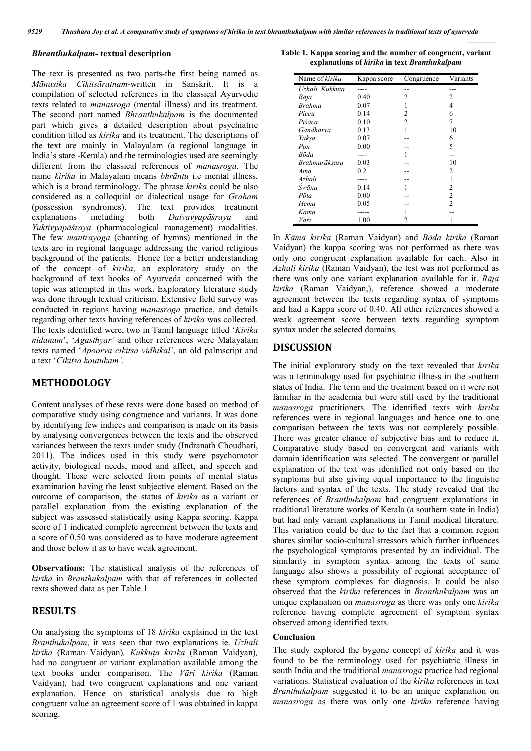#### *Bhranthukalpam-* **textual description**

The text is presented as two parts-the first being named as *Mānasika Cikitsāratnam*-written in Sanskrit. It is a compilation of selected references in the classical Ayurvedic texts related to *manasroga* (mental illness) and its treatment. The second part named *Bhranthukalpam* is the documented part which gives a detailed description about psychiatric condition titled as *kirika* and its treatment. The descriptions of the text are mainly in Malayalam (a regional language in India's state -Kerala) and the terminologies used are seemingly different from the classical references of *manasroga*. The name *kirika* in Malayalam means *bhrāntu* i.e mental illness, which is a broad terminology. The phrase *kirika* could be also considered as a colloquial or dialectical usage for *Graham*  (possession syndromes). The text provides treatment explanations including both *Daivavyapāśraya* and *Yuktivyapāśraya* (pharmacological management) modalities. The few *mantrayoga* (chanting of hymns) mentioned in the texts are in regional language addressing the varied religious background of the patients. Hence for a better understanding of the concept of *kirika*, an exploratory study on the background of text books of Ayurveda concerned with the topic was attempted in this work. Exploratory literature study was done through textual criticism. Extensive field survey was conducted in regions having *manasroga* practice, and details regarding other texts having references of *kirika* was collected. The texts identified were, two in Tamil language titled '*Kirika nidanam*', '*Agasthyar'* and other references were Malayalam texts named '*Apoorva cikitsa vidhikal'*, an old palmscript and a text '*Cikitsa koutukam'*.

## **METHODOLOGY**

Content analyses of these texts were done based on method of comparative study using congruence and variants. It was done by identifying few indices and comparison is made on its basis by analysing convergences between the texts and the observed variances between the texts under study (Indranath Choudhari, 2011). The indices used in this study were psychomotor activity, biological needs, mood and affect, and speech and thought. These were selected from points of mental status examination having the least subjective element. Based on the outcome of comparison, the status of *kirika* as a variant or parallel explanation from the existing explanation of the subject was assessed statistically using Kappa scoring. Kappa score of 1 indicated complete agreement between the texts and a score of 0.50 was considered as to have moderate agreement and those below it as to have weak agreement.

**Observations:** The statistical analysis of the references of *kirika* in *Branthukalpam* with that of references in collected texts showed data as per Table.1

# **RESULTS**

On analysing the symptoms of 18 *kirika* explained in the text *Branthukalpam*, it was seen that two explanations ie. *Uzhali kirika* (Raman Vaidyan)*, Kukkuṭa kirika* (Raman Vaidyan)*,* had no congruent or variant explanation available among the text books under comparison. The *Vāri kirika* (Raman Vaidyan)*,* had two congruent explanations and one variant explanation. Hence on statistical analysis due to high congruent value an agreement score of 1 was obtained in kappa scoring.

**Table 1. Kappa scoring and the number of congruent, variant explanations of** *kirika* **in text** *Branthukalpam*

| Name of kirika  | Kappa score | Congruence | Variants       |
|-----------------|-------------|------------|----------------|
| Uzhali, Kukkuta |             |            |                |
| Rāja            | 0.40        | 2          | 2              |
| <b>Brahma</b>   | 0.07        |            | 4              |
| Piccu           | 0.14        | 2          | 6              |
| Piśāca          | 0.10        | 2          | 7              |
| Gandharva       | 0.13        |            | 10             |
| Yakşa           | 0.07        |            | 6              |
| Pon             | 0.00        |            | 5              |
| Bōda            |             |            |                |
| Brahmarākşasa   | 0.03        |            | 10             |
| Ama             | 0.2         |            | 2              |
| Azhali          |             |            |                |
| Šwāna           | 0.14        |            | 2              |
| Pōta            | 0.00        |            | 2              |
| Hema            | 0.05        |            | $\mathfrak{D}$ |
| Kāma            |             |            |                |
| Vāri            | 1.00        |            |                |

In *Kāma kirika* (Raman Vaidyan) and *Bōda kirika* (Raman Vaidyan) the kappa scoring was not performed as there was only one congruent explanation available for each. Also in *Azhali kirika* (Raman Vaidyan), the test was not performed as there was only one variant explanation available for it. *Rāja kirika* (Raman Vaidyan,), reference showed a moderate agreement between the texts regarding syntax of symptoms and had a Kappa score of 0.40. All other references showed a weak agreement score between texts regarding symptom syntax under the selected domains.

## **DISCUSSION**

The initial exploratory study on the text revealed that *kirika* was a terminology used for psychiatric illness in the southern states of India. The term and the treatment based on it were not familiar in the academia but were still used by the traditional *manasroga* practitioners. The identified texts with *kirika* references were in regional languages and hence one to one comparison between the texts was not completely possible. There was greater chance of subjective bias and to reduce it, Comparative study based on convergent and variants with domain identification was selected. The convergent or parallel explanation of the text was identified not only based on the symptoms but also giving equal importance to the linguistic factors and syntax of the texts. The study revealed that the references of *Branthukalpam* had congruent explanations in traditional literature works of Kerala (a southern state in India) but had only variant explanations in Tamil medical literature. This variation could be due to the fact that a common region shares similar socio-cultural stressors which further influences the psychological symptoms presented by an individual. The similarity in symptom syntax among the texts of same language also shows a possibility of regional acceptance of these symptom complexes for diagnosis. It could be also observed that the *kirika* references in *Branthukalpam* was an unique explanation on *manasroga* as there was only one *kirika* reference having complete agreement of symptom syntax observed among identified texts.

### **Conclusion**

The study explored the bygone concept of *kirika* and it was found to be the terminology used for psychiatric illness in south India and the traditional *manasroga* practice had regional variations. Statistical evaluation of the *kirika* references in text *Branthukalpam* suggested it to be an unique explanation on *manasroga* as there was only one *kirika* reference having